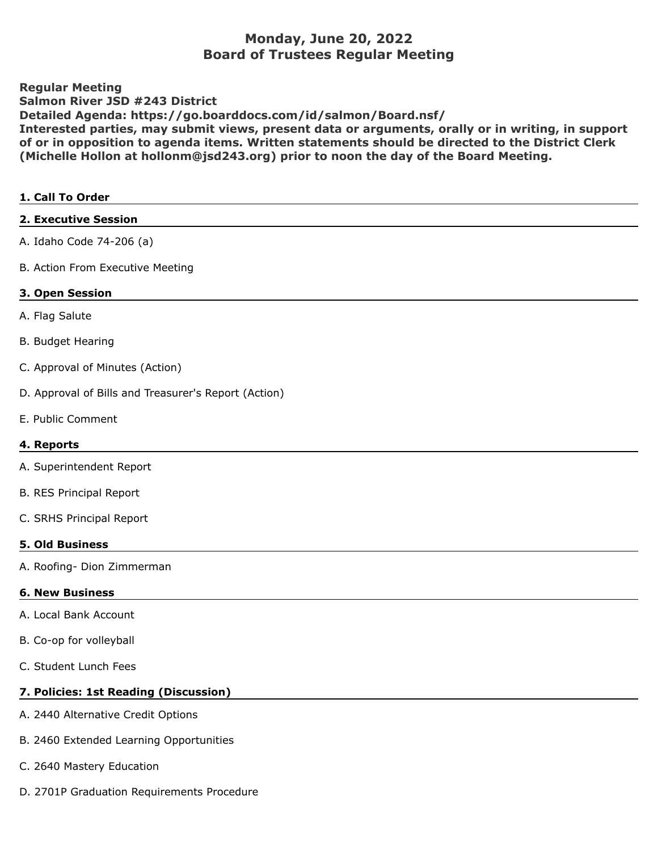# **Monday, June 20, 2022 Board of Trustees Regular Meeting**

**Regular Meeting Salmon River JSD #243 District Detailed Agenda: https://go.boarddocs.com/id/salmon/Board.nsf/ Interested parties, may submit views, present data or arguments, orally or in writing, in support of or in opposition to agenda items. Written statements should be directed to the District Clerk (Michelle Hollon at hollonm@jsd243.org) prior to noon the day of the Board Meeting.**

#### **1. Call To Order**

**2. Executive Session**

| A. Idaho Code 74-206 (a)         |
|----------------------------------|
| B. Action From Executive Meeting |
| 3. Open Session                  |
| A. Flag Salute                   |
| <b>B. Budget Hearing</b>         |
| C. Approval of Minutes (Action)  |
|                                  |

- D. Approval of Bills and Treasurer's Report (Action)
- E. Public Comment

## **4. Reports**

- A. Superintendent Report
- B. RES Principal Report
- C. SRHS Principal Report

## **5. Old Business**

A. Roofing- Dion Zimmerman

## **6. New Business**

- A. Local Bank Account
- B. Co-op for volleyball
- C. Student Lunch Fees

## **7. Policies: 1st Reading (Discussion)**

- A. 2440 Alternative Credit Options
- B. 2460 Extended Learning Opportunities
- C. 2640 Mastery Education
- D. 2701P Graduation Requirements Procedure